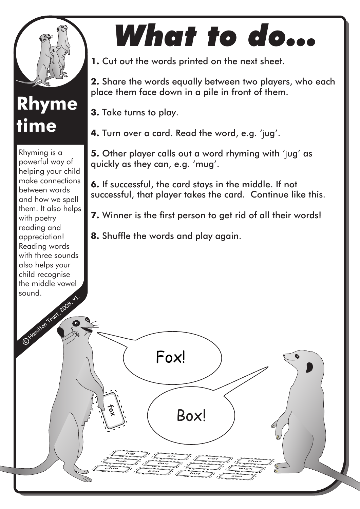

## **Rhyme time**

C Hamilton Trust, 2008. Rhyming is a powerful way of helping your child make connections between words and how we spell them. It also helps with poetry reading and appreciation! Reading words with three sounds also helps your child recognise the middle vowel sound.

## *What to do...*

**1.** Cut out the words printed on the next sheet.

**2.** Share the words equally between two players, who each place them face down in a pile in front of them.

**3.** Take turns to play.

**jug**

**hop**

**chin**

**fox**

**sit**

Fox!

**fox**

**pop**

**cat**

**sun wish that**

**can**

**hut**

Box!

**4.** Turn over a card. Read the word, e.g. 'jug'.

**5.** Other player calls out a word rhyming with 'jug' as quickly as they can, e.g. 'mug'.

**6.** If successful, the card stays in the middle. If not successful, that player takes the card. Continue like this.

**7.** Winner is the first person to get rid of all their words!

**8.** Shuffle the words and play again.